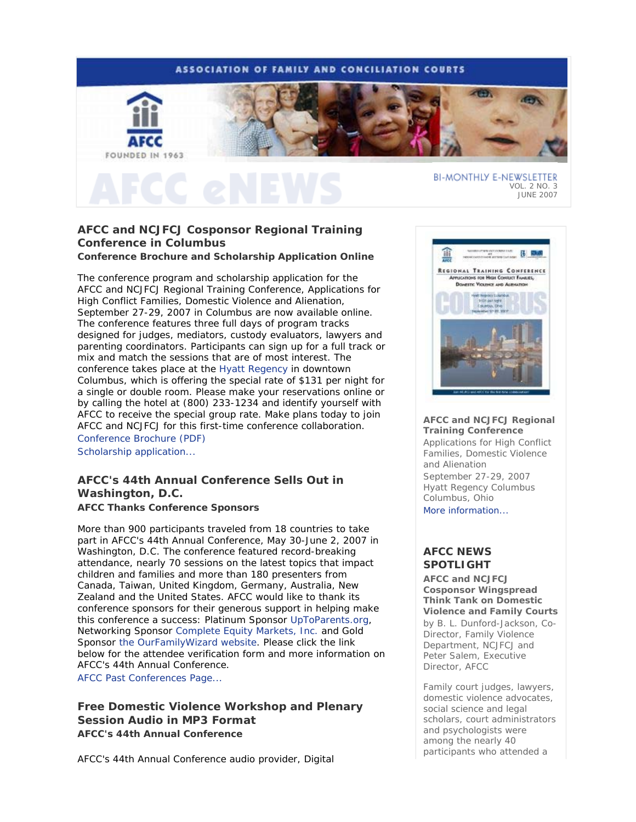# **ASSOCIATION OF FAMILY AND CONCILIATION COURTS**



VOL. 2 NO. 3 JUNE 2007

# **AFCC and NCJFCJ Cosponsor Regional Training Conference in Columbus**

# **Conference Brochure and Scholarship Application Online**

The conference program and scholarship application for the AFCC and NCJFCJ Regional Training Conference, *Applications for High Conflict Families, Domestic Violence and Alienation*, September 27-29, 2007 in Columbus are now available online. The conference features three full days of program tracks designed for judges, mediators, custody evaluators, lawyers and parenting coordinators. Participants can sign up for a full track or mix and match the sessions that are of most interest. The conference takes place at the Hyatt Regency in downtown Columbus, which is offering the special rate of \$131 per night for a single or double room. Please make your reservations online or by calling the hotel at (800) 233-1234 and identify yourself with AFCC to receive the special group rate. Make plans today to join AFCC and NCJFCJ for this first-time conference collaboration.

Conference Brochure (PDF) Scholarship application...

# **AFCC's 44th Annual Conference Sells Out in Washington, D.C. AFCC Thanks Conference Sponsors**

More than 900 participants traveled from 18 countries to take part in AFCC's 44th Annual Conference, May 30-June 2, 2007 in Washington, D.C. The conference featured record-breaking attendance, nearly 70 sessions on the latest topics that impact children and families and more than 180 presenters from Canada, Taiwan, United Kingdom, Germany, Australia, New Zealand and the United States. AFCC would like to thank its conference sponsors for their generous support in helping make this conference a success: Platinum Sponsor UpToParents.org, Networking Sponsor Complete Equity Markets, Inc. and Gold Sponsor the OurFamilyWizard website. Please click the link below for the attendee verification form and more information on AFCC's 44th Annual Conference. AFCC Past Conferences Page...

**Free Domestic Violence Workshop and Plenary Session Audio in MP3 Format AFCC's 44th Annual Conference**

AFCC's 44th Annual Conference audio provider, Digital



#### **AFCC and NCJFCJ Regional Training Conference**

*Applications for High Conflict Families, Domestic Violence and Alienation* September 27-29, 2007 Hyatt Regency Columbus Columbus, Ohio More information...

# **AFCC NEWS SPOTLIGHT**

**AFCC and NCJFCJ Cosponsor Wingspread Think Tank on Domestic Violence and Family Courts** *by B. L. Dunford-Jackson, Co-Director, Family Violence Department, NCJFCJ and Peter Salem, Executive Director, AFCC* 

Family court judges, lawyers, domestic violence advocates, social science and legal scholars, court administrators and psychologists were among the nearly 40 participants who attended a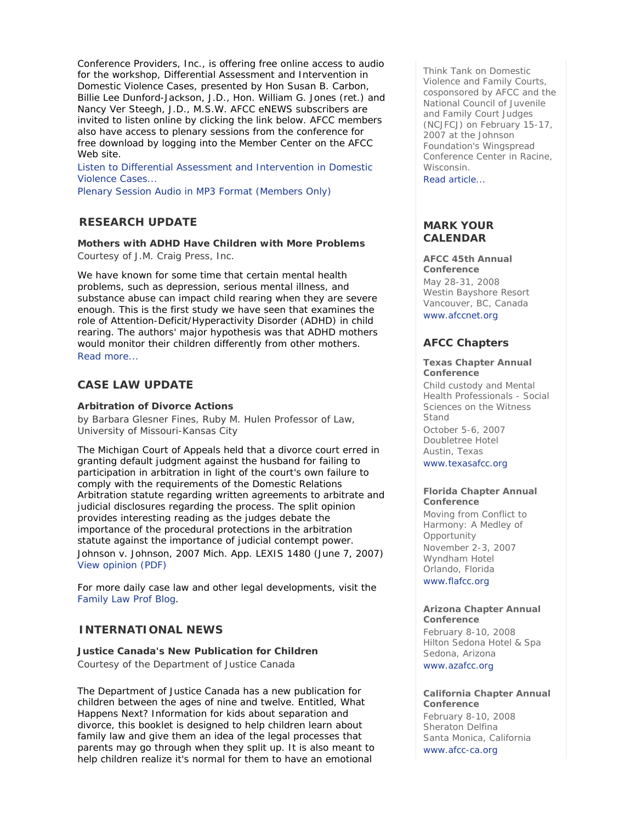Conference Providers, Inc., is offering free online access to audio for the workshop, *Differential Assessment and Intervention in Domestic Violence Cases*, presented by Hon Susan B. Carbon, Billie Lee Dunford-Jackson, J.D., Hon. William G. Jones (ret.) and Nancy Ver Steegh, J.D., M.S.W. *AFCC eNEWS* subscribers are invited to listen online by clicking the link below. AFCC members also have access to plenary sessions from the conference for free download by logging into the Member Center on the AFCC Web site.

Listen to Differential Assessment and Intervention in Domestic Violence Cases...

Plenary Session Audio in MP3 Format (Members Only)

# **RESEARCH UPDATE**

**Mothers with ADHD Have Children with More Problems** *Courtesy of J.M. Craig Press, Inc.*

We have known for some time that certain mental health problems, such as depression, serious mental illness, and substance abuse can impact child rearing when they are severe enough. This is the first study we have seen that examines the role of Attention-Deficit/Hyperactivity Disorder (ADHD) in child rearing. The authors' major hypothesis was that ADHD mothers would monitor their children differently from other mothers. Read more...

# **CASE LAW UPDATE**

# **Arbitration of Divorce Actions**

*by Barbara Glesner Fines, Ruby M. Hulen Professor of Law, University of Missouri-Kansas City*

The Michigan Court of Appeals held that a divorce court erred in granting default judgment against the husband for failing to participation in arbitration in light of the court's own failure to comply with the requirements of the Domestic Relations Arbitration statute regarding written agreements to arbitrate and judicial disclosures regarding the process. The split opinion provides interesting reading as the judges debate the importance of the procedural protections in the arbitration statute against the importance of judicial contempt power. Johnson v. Johnson, 2007 Mich. App. LEXIS 1480 (June 7, 2007) View opinion (PDF)

For more daily case law and other legal developments, visit the Family Law Prof Blog.

# **INTERNATIONAL NEWS**

**Justice Canada's New Publication for Children** *Courtesy of the Department of Justice Canada* 

The Department of Justice Canada has a new publication for children between the ages of nine and twelve. Entitled, *What Happens Next? Information for kids about separation and divorce*, this booklet is designed to help children learn about family law and give them an idea of the legal processes that parents may go through when they split up. It is also meant to help children realize it's normal for them to have an emotional

Think Tank on Domestic Violence and Family Courts, cosponsored by AFCC and the National Council of Juvenile and Family Court Judges (NCJFCJ) on February 15-17, 2007 at the Johnson Foundation's Wingspread Conference Center in Racine, Wisconsin.

Read article...

# **MARK YOUR CALENDAR**

**AFCC 45th Annual Conference**

May 28-31, 2008 Westin Bayshore Resort Vancouver, BC, Canada www.afccnet.org

# **AFCC Chapters**

#### **Texas Chapter Annual Conference**

*Child custody and Mental Health Professionals - Social Sciences on the Witness Stand* October 5-6, 2007 Doubletree Hotel Austin, Texas www.texasafcc.org

#### **Florida Chapter Annual Conference**

*Moving from Conflict to Harmony: A Medley of Opportunity*  November 2-3, 2007 Wyndham Hotel Orlando, Florida www.flafcc.org

#### **Arizona Chapter Annual Conference**

February 8-10, 2008 Hilton Sedona Hotel & Spa Sedona, Arizona www.azafcc.org

#### **California Chapter Annual Conference**

February 8-10, 2008 Sheraton Delfina Santa Monica, California www.afcc-ca.org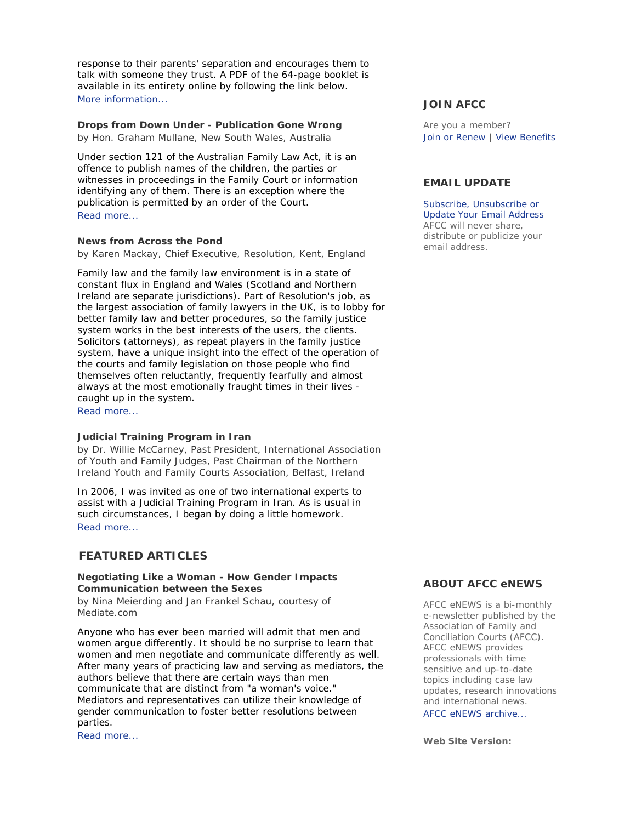response to their parents' separation and encourages them to talk with someone they trust. A PDF of the 64-page booklet is available in its entirety online by following the link below. More information...

# **Drops from Down Under - Publication Gone Wrong**

*by Hon. Graham Mullane, New South Wales, Australia*

Under section 121 of the Australian Family Law Act, it is an offence to publish names of the children, the parties or witnesses in proceedings in the Family Court or information identifying any of them. There is an exception where the publication is permitted by an order of the Court. Read more...

## **News from Across the Pond**

*by Karen Mackay, Chief Executive, Resolution, Kent, England*

Family law and the family law environment is in a state of constant flux in England and Wales (Scotland and Northern Ireland are separate jurisdictions). Part of Resolution's job, as the largest association of family lawyers in the UK, is to lobby for better family law and better procedures, so the family justice system works in the best interests of the users, the clients. Solicitors (attorneys), as repeat players in the family justice system, have a unique insight into the effect of the operation of the courts and family legislation on those people who find themselves often reluctantly, frequently fearfully and almost always at the most emotionally fraught times in their lives caught up in the system.

Read more...

## **Judicial Training Program in Iran**

*by Dr. Willie McCarney, Past President, International Association of Youth and Family Judges, Past Chairman of the Northern Ireland Youth and Family Courts Association, Belfast, Ireland* 

In 2006, I was invited as one of two international experts to assist with a Judicial Training Program in Iran. As is usual in such circumstances, I began by doing a little homework. Read more...

# **FEATURED ARTICLES**

## **Negotiating Like a Woman - How Gender Impacts Communication between the Sexes**

*by Nina Meierding and Jan Frankel Schau, courtesy of Mediate.com*

Anyone who has ever been married will admit that men and women argue differently. It should be no surprise to learn that women and men negotiate and communicate differently as well. After many years of practicing law and serving as mediators, the authors believe that there are certain ways than men communicate that are distinct from "a woman's voice." Mediators and representatives can utilize their knowledge of gender communication to foster better resolutions between parties.

Read more...

# **JOIN AFCC**

Are you a member? Join or Renew | View Benefits

# **EMAIL UPDATE**

Subscribe, Unsubscribe or Update Your Email Address AFCC will never share, distribute or publicize your email address.

# **ABOUT AFCC eNEWS**

*AFCC eNEWS* is a bi-monthly e-newsletter published by the Association of Family and Conciliation Courts (AFCC). *AFCC eNEWS* provides professionals with time sensitive and up-to-date topics including case law updates, research innovations and international news.

AFCC eNEWS archive...

**Web Site Version:**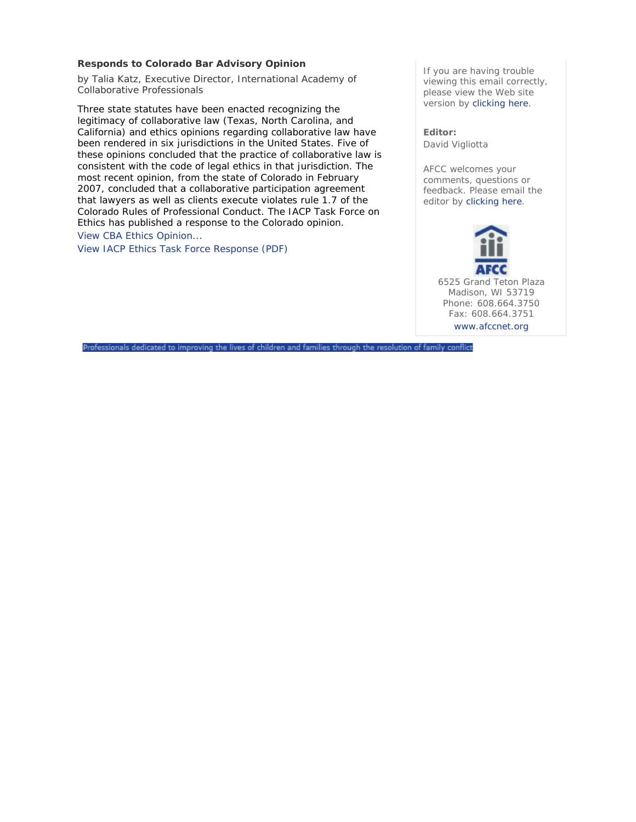## **Responds to Colorado Bar Advisory Opinion**

*by Talia Katz, Executive Director, International Academy of Collaborative Professionals*

Three state statutes have been enacted recognizing the legitimacy of collaborative law (Texas, North Carolina, and California) and ethics opinions regarding collaborative law have been rendered in six jurisdictions in the United States. Five of these opinions concluded that the practice of collaborative law is consistent with the code of legal ethics in that jurisdiction. The most recent opinion, from the state of Colorado in February 2007, concluded that a collaborative participation agreement that lawyers as well as clients execute violates rule 1.7 of the Colorado Rules of Professional Conduct. The IACP Task Force on Ethics has published a response to the Colorado opinion. View CBA Ethics Opinion...

View IACP Ethics Task Force Response (PDF)

If you are having trouble viewing this email correctly, please view the Web site version by clicking here.

**Editor:**  David Vigliotta

AFCC welcomes your comments, questions or feedback. Please email the editor by clicking here.

> 6525 Grand Teton Plaza Madison, WI 53719 Phone: 608.664.3750 Fax: 608.664.3751 www.afccnet.org

Professionals dedicated to improving the lives of children and families through the resolution of family conflict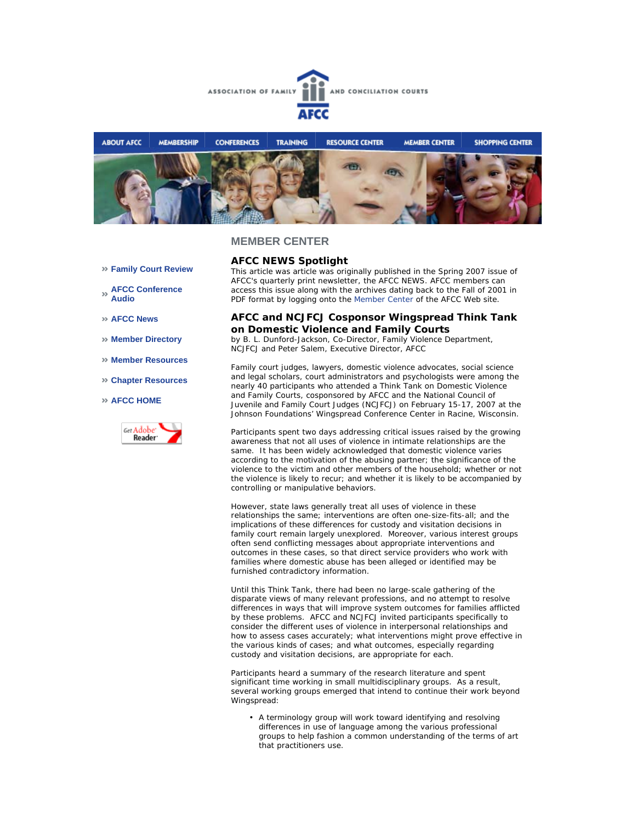



- **Family Court Review**
- **AFCC Conference Audio**
- **AFCC News**
- **Member Directory**
- **Member Resources**
- **Chapter Resources**
- **AFCC HOME**



## **AFCC NEWS Spotlight**

*This article was article was originally published in the Spring 2007 issue of AFCC's quarterly print newsletter, the* AFCC NEWS*. AFCC members can access this issue along with the archives dating back to the Fall of 2001 in PDF format by logging onto the Member Center of the AFCC Web site.* 

#### **AFCC and NCJFCJ Cosponsor Wingspread Think Tank on Domestic Violence and Family Courts**

*by B. L. Dunford-Jackson, Co-Director, Family Violence Department, NCJFCJ and Peter Salem, Executive Director, AFCC*

Family court judges, lawyers, domestic violence advocates, social science and legal scholars, court administrators and psychologists were among the nearly 40 participants who attended a Think Tank on Domestic Violence and Family Courts, cosponsored by AFCC and the National Council of Juvenile and Family Court Judges (NCJFCJ) on February 15-17, 2007 at the Johnson Foundations' Wingspread Conference Center in Racine, Wisconsin.

Participants spent two days addressing critical issues raised by the growing awareness that not all uses of violence in intimate relationships are the same. It has been widely acknowledged that domestic violence varies according to the motivation of the abusing partner; the significance of the violence to the victim and other members of the household; whether or not the violence is likely to recur; and whether it is likely to be accompanied by controlling or manipulative behaviors.

However, state laws generally treat all uses of violence in these relationships the same; interventions are often one-size-fits-all; and the implications of these differences for custody and visitation decisions in family court remain largely unexplored. Moreover, various interest groups often send conflicting messages about appropriate interventions and outcomes in these cases, so that direct service providers who work with families where domestic abuse has been alleged or identified may be furnished contradictory information.

Until this Think Tank, there had been no large-scale gathering of the disparate views of many relevant professions, and no attempt to resolve differences in ways that will improve system outcomes for families afflicted by these problems. AFCC and NCJFCJ invited participants specifically to consider the different uses of violence in interpersonal relationships and how to assess cases accurately; what interventions might prove effective in the various kinds of cases; and what outcomes, especially regarding custody and visitation decisions, are appropriate for each.

Participants heard a summary of the research literature and spent significant time working in small multidisciplinary groups. As a result, several working groups emerged that intend to continue their work beyond Wingspread:

• A terminology group will work toward identifying and resolving differences in use of language among the various professional groups to help fashion a common understanding of the terms of art that practitioners use.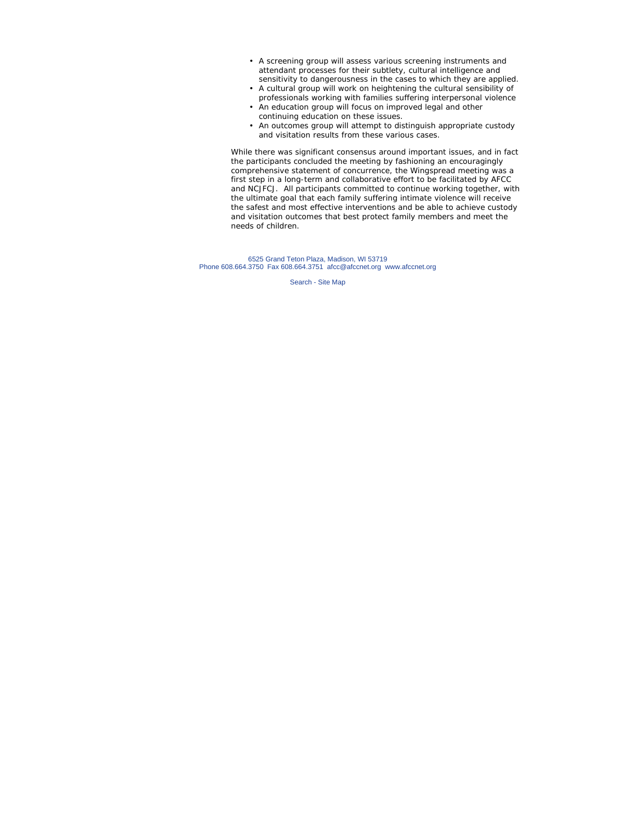- A screening group will assess various screening instruments and attendant processes for their subtlety, cultural intelligence and sensitivity to dangerousness in the cases to which they are applied.
- A cultural group will work on heightening the cultural sensibility of professionals working with families suffering interpersonal violence
- An education group will focus on improved legal and other continuing education on these issues.
- An outcomes group will attempt to distinguish appropriate custody and visitation results from these various cases.

While there was significant consensus around important issues, and in fact the participants concluded the meeting by fashioning an encouragingly comprehensive statement of concurrence, the Wingspread meeting was a first step in a long-term and collaborative effort to be facilitated by AFCC and NCJFCJ. All participants committed to continue working together, with the ultimate goal that each family suffering intimate violence will receive the safest and most effective interventions and be able to achieve custody and visitation outcomes that best protect family members and meet the needs of children.

6525 Grand Teton Plaza, Madison, WI 53719 Phone 608.664.3750 Fax 608.664.3751 afcc@afccnet.org www.afccnet.org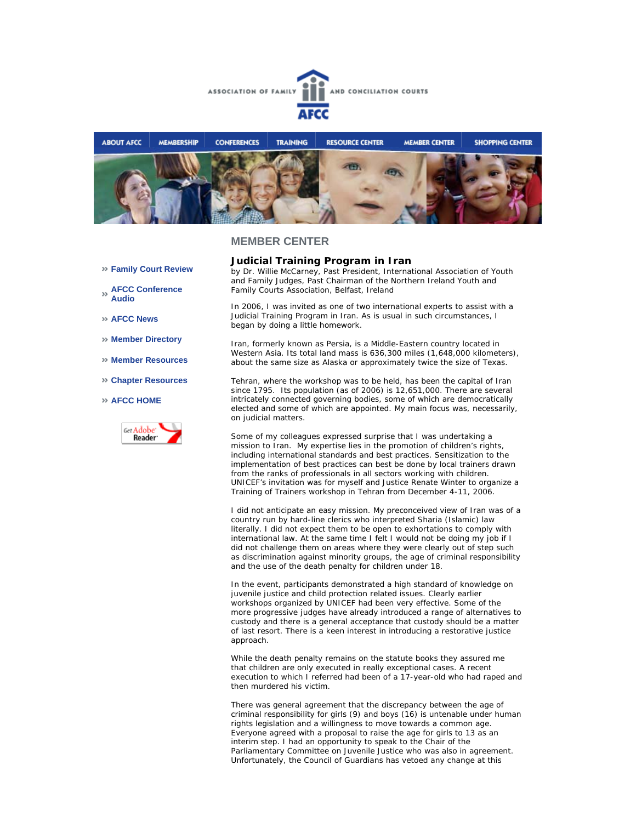



**Family Court Review** 

**AFCC Conference Audio** 

**AFCC News** 

- **Member Directory**
- **Member Resources**
- **Chapter Resources**

#### **AFCC HOME**



**Judicial Training Program in Iran**

*by Dr. Willie McCarney, Past President, International Association of Youth and Family Judges, Past Chairman of the Northern Ireland Youth and Family Courts Association, Belfast, Ireland*

In 2006, I was invited as one of two international experts to assist with a Judicial Training Program in Iran. As is usual in such circumstances, I began by doing a little homework.

Iran, formerly known as Persia, is a Middle-Eastern country located in Western Asia. Its total land mass is 636,300 miles (1,648,000 kilometers), about the same size as Alaska or approximately twice the size of Texas.

Tehran, where the workshop was to be held, has been the capital of Iran since 1795. Its population (as of 2006) is 12,651,000. There are several intricately connected governing bodies, some of which are democratically elected and some of which are appointed. My main focus was, necessarily, on judicial matters.

Some of my colleagues expressed surprise that I was undertaking a mission to Iran. My expertise lies in the promotion of children's rights, including international standards and best practices. Sensitization to the implementation of best practices can best be done by local trainers drawn from the ranks of professionals in all sectors working with children. UNICEF's invitation was for myself and Justice Renate Winter to organize a Training of Trainers workshop in Tehran from December 4-11, 2006.

I did not anticipate an easy mission. My preconceived view of Iran was of a country run by hard-line clerics who interpreted Sharia (Islamic) law literally. I did not expect them to be open to exhortations to comply with international law. At the same time I felt I would not be doing my job if I did not challenge them on areas where they were clearly out of step such as discrimination against minority groups, the age of criminal responsibility and the use of the death penalty for children under 18.

In the event, participants demonstrated a high standard of knowledge on juvenile justice and child protection related issues. Clearly earlier workshops organized by UNICEF had been very effective. Some of the more progressive judges have already introduced a range of alternatives to custody and there is a general acceptance that custody should be a matter of last resort. There is a keen interest in introducing a restorative justice approach.

While the death penalty remains on the statute books they assured me that children are only executed in really exceptional cases. A recent execution to which I referred had been of a 17-year-old who had raped and then murdered his victim.

There was general agreement that the discrepancy between the age of criminal responsibility for girls (9) and boys (16) is untenable under human rights legislation and a willingness to move towards a common age. Everyone agreed with a proposal to raise the age for girls to 13 as an interim step. I had an opportunity to speak to the Chair of the Parliamentary Committee on Juvenile Justice who was also in agreement. Unfortunately, the Council of Guardians has vetoed any change at this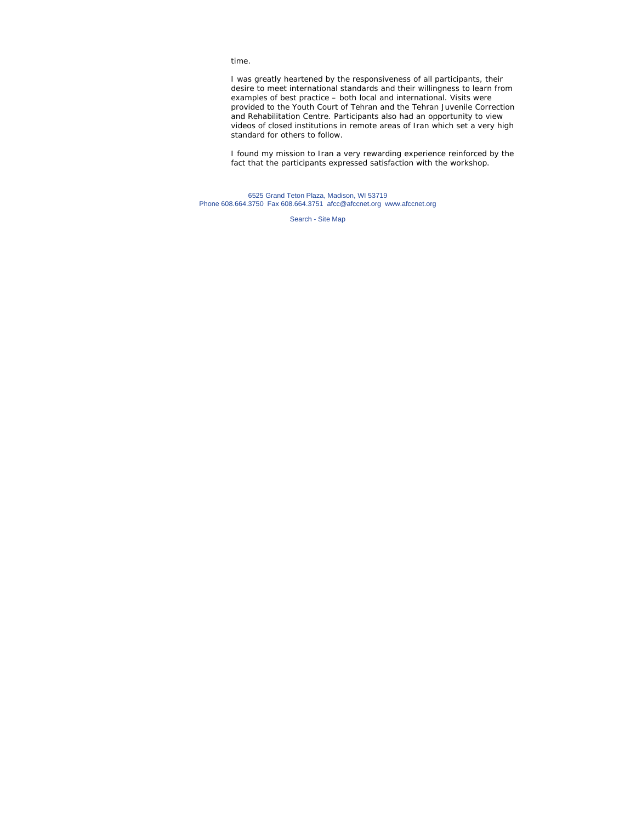time.

I was greatly heartened by the responsiveness of all participants, their desire to meet international standards and their willingness to learn from examples of best practice – both local and international. Visits were provided to the Youth Court of Tehran and the Tehran Juvenile Correction and Rehabilitation Centre. Participants also had an opportunity to view videos of closed institutions in remote areas of Iran which set a very high standard for others to follow.

I found my mission to Iran a very rewarding experience reinforced by the fact that the participants expressed satisfaction with the workshop.

6525 Grand Teton Plaza, Madison, WI 53719 Phone 608.664.3750 Fax 608.664.3751 afcc@afccnet.org www.afccnet.org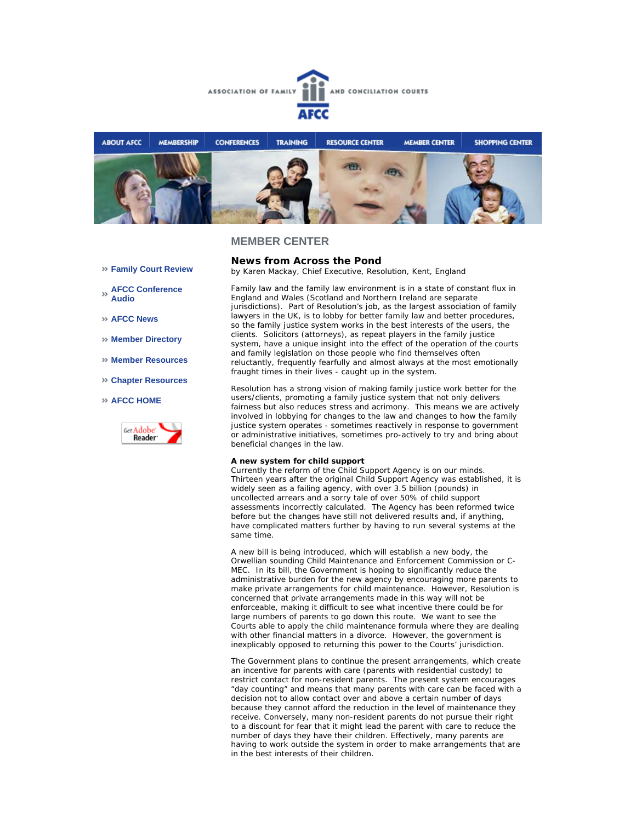



- **Family Court Review**
- **AFCC Conference Audio**
- **AFCC News**
- **Member Directory**
- **Member Resources**
- **Chapter Resources**
- **AFCC HOME**



**News from Across the Pond** *by Karen Mackay, Chief Executive, Resolution, Kent, England*

Family law and the family law environment is in a state of constant flux in England and Wales (Scotland and Northern Ireland are separate jurisdictions). Part of Resolution's job, as the largest association of family lawyers in the UK, is to lobby for better family law and better procedures, so the family justice system works in the best interests of the users, the clients. Solicitors (attorneys), as repeat players in the family justice system, have a unique insight into the effect of the operation of the courts and family legislation on those people who find themselves often reluctantly, frequently fearfully and almost always at the most emotionally fraught times in their lives - caught up in the system.

Resolution has a strong vision of making family justice work better for the users/clients, promoting a family justice system that not only delivers fairness but also reduces stress and acrimony. This means we are actively involved in lobbying for changes to the law and changes to how the family justice system operates - sometimes reactively in response to government or administrative initiatives, sometimes pro-actively to try and bring about beneficial changes in the law.

#### **A new system for child support**

Currently the reform of the Child Support Agency is on our minds. Thirteen years after the original Child Support Agency was established, it is widely seen as a failing agency, with over 3.5 billion (pounds) in uncollected arrears and a sorry tale of over 50% of child support assessments incorrectly calculated. The Agency has been reformed twice before but the changes have still not delivered results and, if anything, have complicated matters further by having to run several systems at the same time.

A new bill is being introduced, which will establish a new body, the Orwellian sounding Child Maintenance and Enforcement Commission or C-MEC. In its bill, the Government is hoping to significantly reduce the administrative burden for the new agency by encouraging more parents to make private arrangements for child maintenance. However, Resolution is concerned that private arrangements made in this way will not be enforceable, making it difficult to see what incentive there could be for large numbers of parents to go down this route. We want to see the Courts able to apply the child maintenance formula where they are dealing with other financial matters in a divorce. However, the government is inexplicably opposed to returning this power to the Courts' jurisdiction.

The Government plans to continue the present arrangements, which create an incentive for parents with care (parents with residential custody) to restrict contact for non-resident parents. The present system encourages "day counting" and means that many parents with care can be faced with a decision not to allow contact over and above a certain number of days because they cannot afford the reduction in the level of maintenance they receive. Conversely, many non-resident parents do not pursue their right to a discount for fear that it might lead the parent with care to reduce the number of days they have their children. Effectively, many parents are having to work outside the system in order to make arrangements that are in the best interests of their children.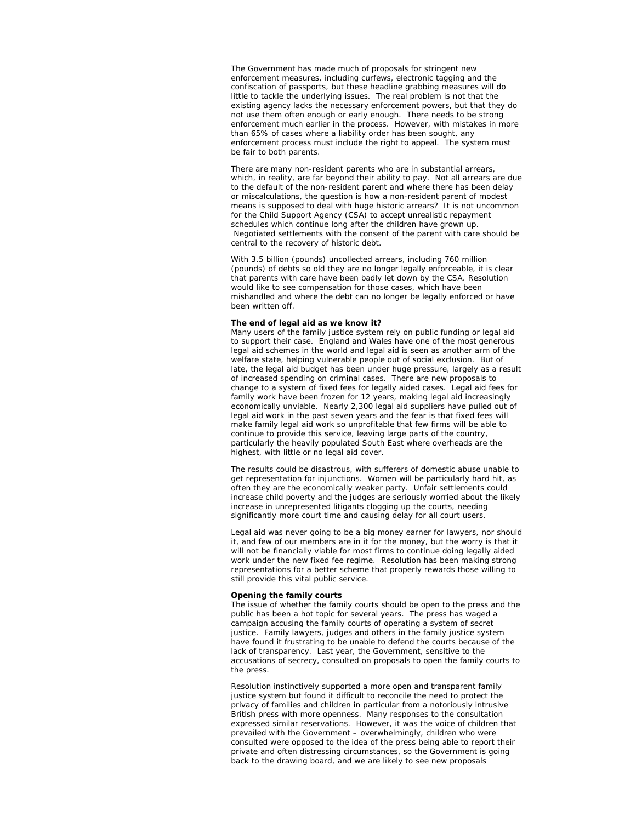The Government has made much of proposals for stringent new enforcement measures, including curfews, electronic tagging and the confiscation of passports, but these headline grabbing measures will do little to tackle the underlying issues. The real problem is not that the existing agency lacks the necessary enforcement powers, but that they do not use them often enough or early enough. There needs to be strong enforcement much earlier in the process. However, with mistakes in more than 65% of cases where a liability order has been sought, any enforcement process must include the right to appeal. The system must be fair to both parents.

There are many non-resident parents who are in substantial arrears, which, in reality, are far beyond their ability to pay. Not all arrears are due to the default of the non-resident parent and where there has been delay or miscalculations, the question is how a non-resident parent of modest means is supposed to deal with huge historic arrears? It is not uncommon for the Child Support Agency (CSA) to accept unrealistic repayment schedules which continue long after the children have grown up. Negotiated settlements with the consent of the parent with care should be central to the recovery of historic debt.

With 3.5 billion (pounds) uncollected arrears, including 760 million (pounds) of debts so old they are no longer legally enforceable, it is clear that parents with care have been badly let down by the CSA. Resolution would like to see compensation for those cases, which have been mishandled and where the debt can no longer be legally enforced or have been written off.

#### **The end of legal aid as we know it?**

Many users of the family justice system rely on public funding or legal aid to support their case. England and Wales have one of the most generous legal aid schemes in the world and legal aid is seen as another arm of the welfare state, helping vulnerable people out of social exclusion. But of late, the legal aid budget has been under huge pressure, largely as a result of increased spending on criminal cases. There are new proposals to change to a system of fixed fees for legally aided cases. Legal aid fees for family work have been frozen for 12 years, making legal aid increasingly economically unviable. Nearly 2,300 legal aid suppliers have pulled out of legal aid work in the past seven years and the fear is that fixed fees will make family legal aid work so unprofitable that few firms will be able to continue to provide this service, leaving large parts of the country, particularly the heavily populated South East where overheads are the highest, with little or no legal aid cover.

The results could be disastrous, with sufferers of domestic abuse unable to get representation for injunctions. Women will be particularly hard hit, as often they are the economically weaker party. Unfair settlements could increase child poverty and the judges are seriously worried about the likely increase in unrepresented litigants clogging up the courts, needing significantly more court time and causing delay for all court users.

Legal aid was never going to be a big money earner for lawyers, nor should it, and few of our members are in it for the money, but the worry is that it will not be financially viable for most firms to continue doing legally aided work under the new fixed fee regime. Resolution has been making strong representations for a better scheme that properly rewards those willing to still provide this vital public service.

#### **Opening the family courts**

The issue of whether the family courts should be open to the press and the public has been a hot topic for several years. The press has waged a campaign accusing the family courts of operating a system of secret justice. Family lawyers, judges and others in the family justice system have found it frustrating to be unable to defend the courts because of the lack of transparency. Last year, the Government, sensitive to the accusations of secrecy, consulted on proposals to open the family courts to the press.

Resolution instinctively supported a more open and transparent family justice system but found it difficult to reconcile the need to protect the privacy of families and children in particular from a notoriously intrusive British press with more openness. Many responses to the consultation expressed similar reservations. However, it was the voice of children that prevailed with the Government – overwhelmingly, children who were consulted were opposed to the idea of the press being able to report their private and often distressing circumstances, so the Government is going back to the drawing board, and we are likely to see new proposals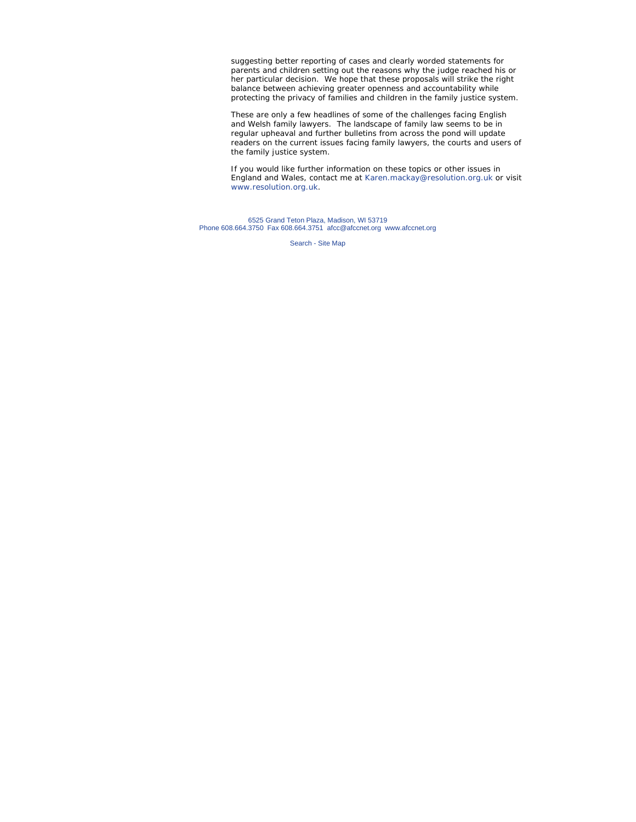suggesting better reporting of cases and clearly worded statements for parents and children setting out the reasons why the judge reached his or her particular decision. We hope that these proposals will strike the right balance between achieving greater openness and accountability while protecting the privacy of families and children in the family justice system.

These are only a few headlines of some of the challenges facing English and Welsh family lawyers. The landscape of family law seems to be in regular upheaval and further bulletins from across the pond will update readers on the current issues facing family lawyers, the courts and users of the family justice system.

If you would like further information on these topics or other issues in England and Wales, contact me at Karen.mackay@resolution.org.uk or visit www.resolution.org.uk.

6525 Grand Teton Plaza, Madison, WI 53719 Phone 608.664.3750 Fax 608.664.3751 afcc@afccnet.org www.afccnet.org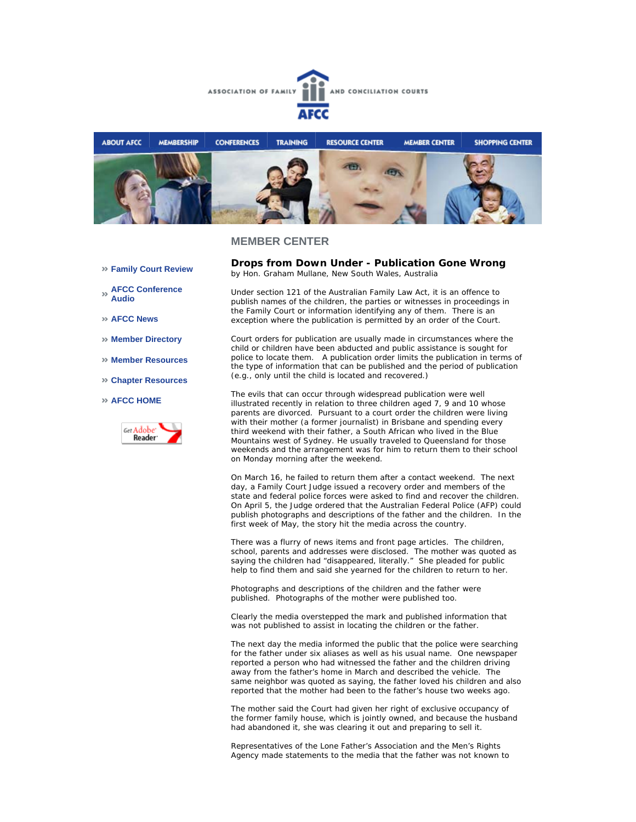



- **Family Court Review**
- **AFCC Conference Audio**
- **AFCC News**
- **Member Directory**
- **Member Resources**
- **Chapter Resources**

#### **AFCC HOME**



**Drops from Down Under - Publication Gone Wrong** *by Hon. Graham Mullane, New South Wales, Australia*

Under section 121 of the Australian Family Law Act, it is an offence to publish names of the children, the parties or witnesses in proceedings in the Family Court or information identifying any of them. There is an exception where the publication is permitted by an order of the Court.

Court orders for publication are usually made in circumstances where the child or children have been abducted and public assistance is sought for police to locate them. A publication order limits the publication in terms of the type of information that can be published and the period of publication (e.g., only until the child is located and recovered.)

The evils that can occur through widespread publication were well illustrated recently in relation to three children aged 7, 9 and 10 whose parents are divorced. Pursuant to a court order the children were living with their mother (a former journalist) in Brisbane and spending every third weekend with their father, a South African who lived in the Blue Mountains west of Sydney. He usually traveled to Queensland for those weekends and the arrangement was for him to return them to their school on Monday morning after the weekend.

On March 16, he failed to return them after a contact weekend. The next day, a Family Court Judge issued a recovery order and members of the state and federal police forces were asked to find and recover the children. On April 5, the Judge ordered that the Australian Federal Police (AFP) could publish photographs and descriptions of the father and the children. In the first week of May, the story hit the media across the country.

There was a flurry of news items and front page articles. The children, school, parents and addresses were disclosed. The mother was quoted as saying the children had "disappeared, literally." She pleaded for public help to find them and said she yearned for the children to return to her.

Photographs and descriptions of the children and the father were published. Photographs of the mother were published too.

Clearly the media overstepped the mark and published information that was not published to assist in locating the children or the father.

The next day the media informed the public that the police were searching for the father under six aliases as well as his usual name. One newspaper reported a person who had witnessed the father and the children driving away from the father's home in March and described the vehicle. The same neighbor was quoted as saying, the father loved his children and also reported that the mother had been to the father's house two weeks ago.

The mother said the Court had given her right of exclusive occupancy of the former family house, which is jointly owned, and because the husband had abandoned it, she was clearing it out and preparing to sell it.

Representatives of the Lone Father's Association and the Men's Rights Agency made statements to the media that the father was not known to